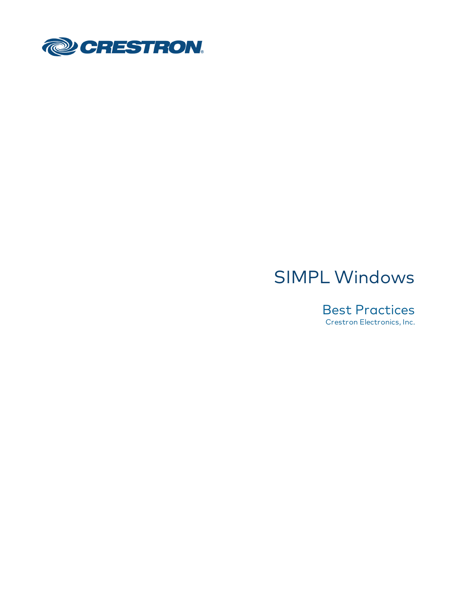

# SIMPL Windows

Best Practices Crestron Electronics, Inc.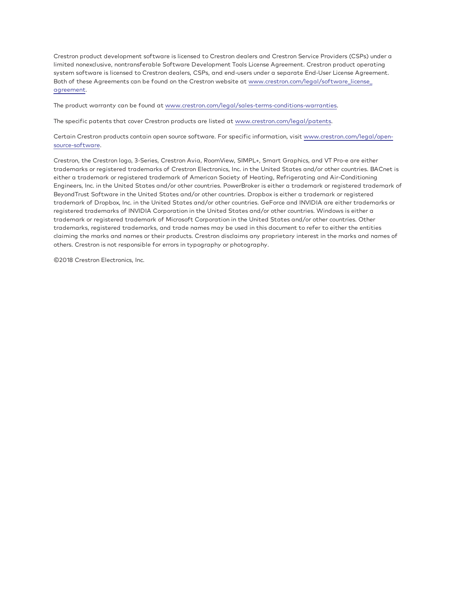Crestron product development software is licensed to Crestron dealers and Crestron Service Providers (CSPs) under a limited nonexclusive, nontransferable Software Development Tools License Agreement. Crestron product operating system software is licensed to Crestron dealers, CSPs, and end-users under a separate End-User License Agreement. Both of these Agreements can be found on the Crestron website at [www.crestron.com/legal/software\\_license\\_](http://www.crestron.com/legal/software_license_agreement) [agreement.](http://www.crestron.com/legal/software_license_agreement)

The product warranty can be found at [www.crestron.com/legal/sales-terms-conditions-warranties](http://www.crestron.com/legal/sales-terms-conditions-warranties).

The specific patents that cover Crestron products are listed at [www.crestron.com/legal/patents.](http://www.crestron.com/legal/patents)

Certain Crestron products contain open source software. For specific information, visit [www.crestron.com/legal/open](http://www.crestron.com/legal/open-source-software)[source-software](http://www.crestron.com/legal/open-source-software).

Crestron, the Crestron logo, 3-Series, Crestron Avia, RoomView, SIMPL+, Smart Graphics, and VT Pro-e are either trademarks or registered trademarks of Crestron Electronics, Inc. in the United States and/or other countries. BACnet is either a trademark or registered trademark of American Society of Heating, Refrigerating and Air-Conditioning Engineers, Inc. in the United States and/or other countries. PowerBroker is either a trademark or registered trademark of BeyondTrust Software in the United States and/or other countries. Dropbox is either a trademark or registered trademark of Dropbox, Inc. in the United States and/or other countries. GeForce and INVIDIA are either trademarks or registered trademarks of INVIDIA Corporation in the United States and/or other countries. Windows is either a trademark or registered trademark of Microsoft Corporation in the United States and/or other countries. Other trademarks, registered trademarks, and trade names may be used in this document to refer to either the entities claiming the marks and names or their products. Crestron disclaims any proprietary interest in the marks and names of others. Crestron is not responsible for errors in typography or photography.

©2018 Crestron Electronics, Inc.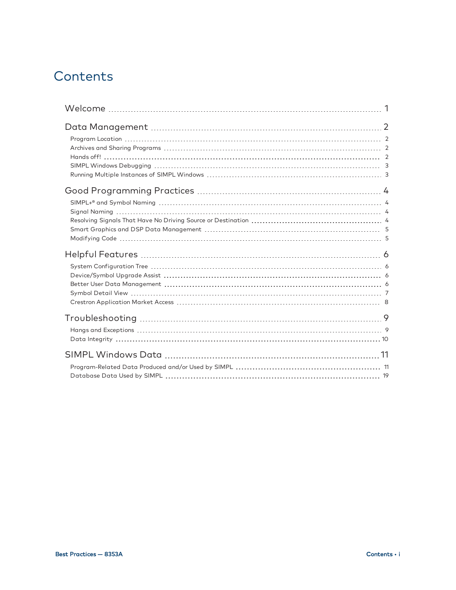## **Contents**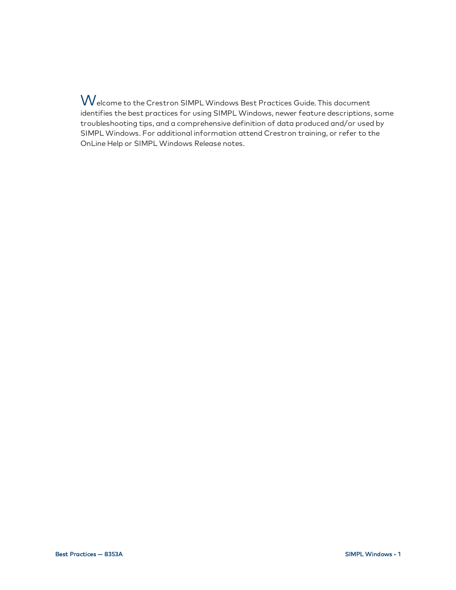<span id="page-4-0"></span>Welcome to the Crestron SIMPL Windows Best Practices Guide. This document identifies the best practices for using SIMPL Windows, newer feature descriptions, some troubleshooting tips, and a comprehensive definition of data produced and/or used by SIMPL Windows. For additional information attend Crestron training, or refer to the OnLine Help or SIMPL Windows Release notes.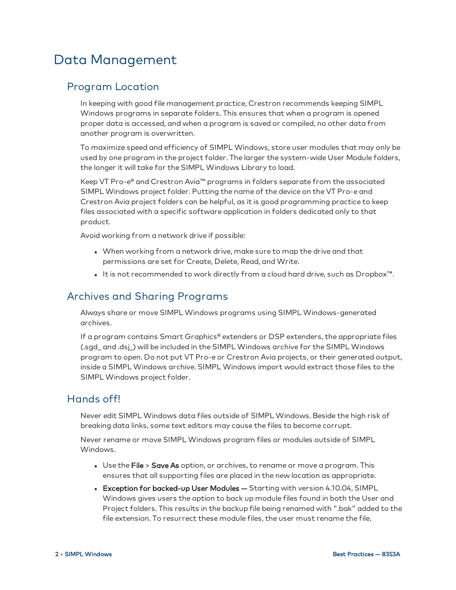## <span id="page-5-0"></span>Data Management

### <span id="page-5-1"></span>Program Location

In keeping with good file management practice, Crestron recommends keeping SIMPL Windows programs in separate folders. This ensures that when a program is opened proper data is accessed, and when a program is saved or compiled, no other data from another program is overwritten.

To maximize speed and efficiency of SIMPL Windows, store user modules that may only be used by one program in the project folder. The larger the system-wide User Module folders, the longer it will take for the SIMPL Windows Library to load.

Keep VT Pro-e® and Crestron Avia™ programs in folders separate from the associated SIMPL Windows project folder. Putting the name of the device on the VT Pro-e and Crestron Avia project folders can be helpful, as it is good programming practice to keep files associated with a specific software application in folders dedicated only to that product.

Avoid working from a network drive if possible:

- When working from a network drive, make sure to map the drive and that permissions are set for Create, Delete, Read, and Write.
- It is not recommended to work directly from a cloud hard drive, such as Dropbox<sup>™</sup>.

#### <span id="page-5-2"></span>Archives and Sharing Programs

Always share or move SIMPL Windows programs using SIMPL Windows-generated archives.

If a program contains Smart Graphics® extenders or DSP extenders, the appropriate files (.sgd\_ and .dsj\_) will be included in the SIMPL Windows archive for the SIMPL Windows program to open. Do not put VT Pro-e or Crestron Avia projects, or their generated output, inside a SIMPL Windows archive. SIMPL Windows import would extract those files to the SIMPL Windows project folder.

### <span id="page-5-3"></span>Hands off!

Never edit SIMPL Windows data files outside of SIMPL Windows. Beside the high risk of breaking data links, some text editors may cause the files to become corrupt.

Never rename or move SIMPL Windows program files or modules outside of SIMPL Windows.

- Use the File > Save As option, or archives, to rename or move a program. This ensures that all supporting files are placed in the new location as appropriate.
- Exception for backed-up User Modules Starting with version 4.10.04, SIMPL Windows gives users the option to back up module files found in both the User and Project folders. This results in the backup file being renamed with ".bak" added to the file extension. To resurrect these module files, the user must rename the file,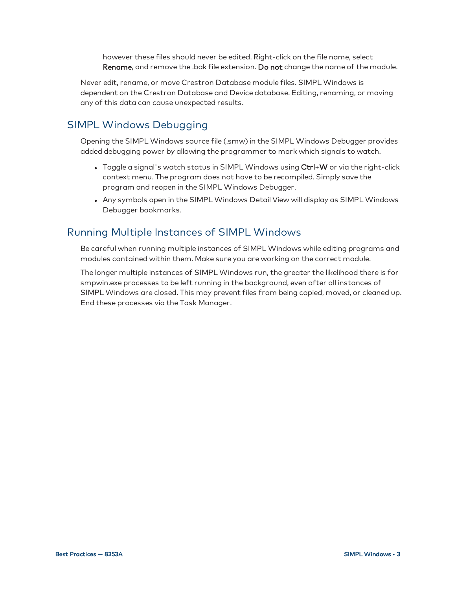however these files should never be edited. Right-click on the file name, select Rename, and remove the .bak file extension. Do not change the name of the module.

Never edit, rename, or move Crestron Database module files. SIMPL Windows is dependent on the Crestron Database and Device database. Editing, renaming, or moving any of this data can cause unexpected results.

### <span id="page-6-0"></span>SIMPL Windows Debugging

Opening the SIMPL Windows source file (.smw) in the SIMPL Windows Debugger provides added debugging power by allowing the programmer to mark which signals to watch.

- Toggle a signal's watch status in SIMPL Windows using  $Ctrl+W$  or via the right-click context menu. The program does not have to be recompiled. Simply save the program and reopen in the SIMPL Windows Debugger.
- Any symbols open in the SIMPL Windows Detail View will display as SIMPL Windows Debugger bookmarks.

### <span id="page-6-1"></span>Running Multiple Instances of SIMPL Windows

Be careful when running multiple instances of SIMPL Windows while editing programs and modules contained within them. Make sure you are working on the correct module.

The longer multiple instances of SIMPL Windows run, the greater the likelihood there is for smpwin.exe processes to be left running in the background, even after all instances of SIMPL Windows are closed. This may prevent files from being copied, moved, or cleaned up. End these processes via the Task Manager.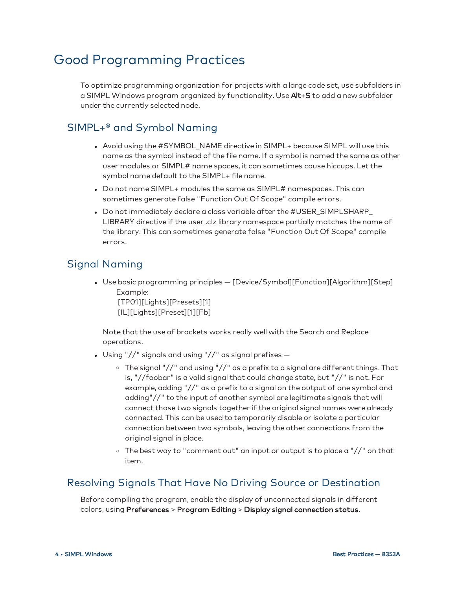## <span id="page-7-0"></span>Good Programming Practices

To optimize programming organization for projects with a large code set, use subfolders in a SIMPL Windows program organized by functionality. Use Alt+S to add a new subfolder under the currently selected node.

### <span id="page-7-1"></span>SIMPL+® and Symbol Naming

- Avoid using the #SYMBOL\_NAME directive in SIMPL+ because SIMPL will use this name as the symbol instead of the file name. If a symbol is named the same as other user modules or SIMPL# name spaces, it can sometimes cause hiccups. Let the symbol name default to the SIMPL+ file name.
- Do not name SIMPL+ modules the same as SIMPL# namespaces. This can sometimes generate false "Function Out Of Scope" compile errors.
- Do not immediately declare a class variable after the #USER\_SIMPLSHARP\_ LIBRARY directive if the user .clz library namespace partially matches the name of the library. This can sometimes generate false "Function Out Of Scope" compile errors.

### <span id="page-7-2"></span>Signal Naming

• Use basic programming principles - [Device/Symbol][Function][Algorithm][Step] Example: [TP01][Lights][Presets][1]

[IL][Lights][Preset][1][Fb]

Note that the use of brackets works really well with the Search and Replace operations.

- Using "//" signals and using "//" as signal prefixes  $-$ 
	- $\circ$  The signal "//" and using "//" as a prefix to a signal are different things. That is, "//foobar" is a valid signal that could change state, but "//" is not. For example, adding "//" as a prefix to a signal on the output of one symbol and adding"//" to the input of another symbol are legitimate signals that will connect those two signals together if the original signal names were already connected. This can be used to temporarily disable or isolate a particular connection between two symbols, leaving the other connections from the original signal in place.
	- <sup>o</sup> The best way to "comment out" an input or output is to place a "//" on that item.

#### <span id="page-7-3"></span>Resolving Signals That Have No Driving Source or Destination

Before compiling the program, enable the display of unconnected signals in different colors, using Preferences > Program Editing > Display signal connection status.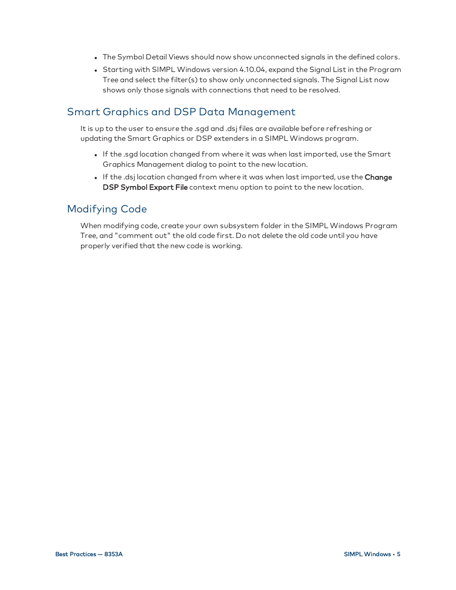- The Symbol Detail Views should now show unconnected signals in the defined colors.
- Starting with SIMPL Windows version 4.10.04, expand the Signal List in the Program Tree and select the filter(s) to show only unconnected signals. The Signal List now shows only those signals with connections that need to be resolved.

### <span id="page-8-0"></span>Smart Graphics and DSP Data Management

It is up to the user to ensure the .sgd and .dsj files are available before refreshing or updating the Smart Graphics or DSP extenders in a SIMPL Windows program.

- <sup>l</sup> If the .sgd location changed from where it was when last imported, use the Smart Graphics Management dialog to point to the new location.
- If the .dsj location changed from where it was when last imported, use the Change DSP Symbol Export File context menu option to point to the new location.

### <span id="page-8-1"></span>Modifying Code

When modifying code, create your own subsystem folder in the SIMPL Windows Program Tree, and "comment out" the old code first. Do not delete the old code until you have properly verified that the new code is working.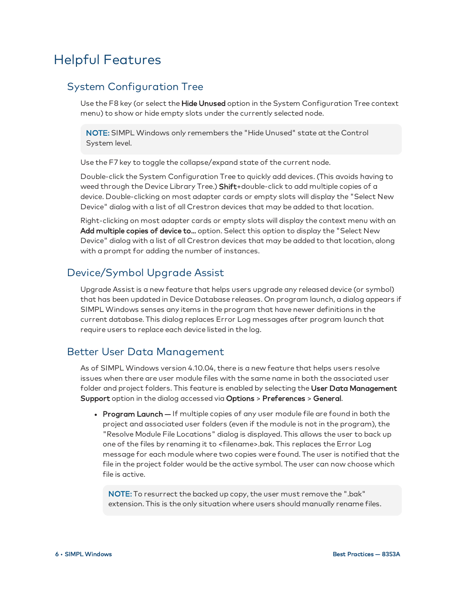## <span id="page-9-0"></span>Helpful Features

### <span id="page-9-1"></span>System Configuration Tree

Use the F8 key (or select the **Hide Unused** option in the System Configuration Tree context menu) to show or hide empty slots under the currently selected node.

NOTE: SIMPL Windows only remembers the "Hide Unused" state at the Control System level.

Use the F7 key to toggle the collapse/expand state of the current node.

Double-click the System Configuration Tree to quickly add devices. (This avoids having to weed through the Device Library Tree.) **Shift**+double-click to add multiple copies of a device. Double-clicking on most adapter cards or empty slots will display the "Select New Device" dialog with a list of all Crestron devices that may be added to that location.

Right-clicking on most adapter cards or empty slots will display the context menu with an Add multiple copies of device to... option. Select this option to display the "Select New Device" dialog with a list of all Crestron devices that may be added to that location, along with a prompt for adding the number of instances.

### <span id="page-9-2"></span>Device/Symbol Upgrade Assist

Upgrade Assist is a new feature that helps users upgrade any released device (or symbol) that has been updated in Device Database releases. On program launch, a dialog appears if SIMPL Windows senses any items in the program that have newer definitions in the current database. This dialog replaces Error Log messages after program launch that require users to replace each device listed in the log.

#### <span id="page-9-3"></span>Better User Data Management

As of SIMPL Windows version 4.10.04, there is a new feature that helps users resolve issues when there are user module files with the same name in both the associated user folder and project folders. This feature is enabled by selecting the User Data Management Support option in the dialog accessed via Options > Preferences > General.

• Program Launch - If multiple copies of any user module file are found in both the project and associated user folders (even if the module is not in the program), the "Resolve Module File Locations" dialog is displayed. This allows the user to back up one of the files by renaming it to <filename>.bak. This replaces the Error Log message for each module where two copies were found. The user is notified that the file in the project folder would be the active symbol. The user can now choose which file is active.

NOTE: To resurrect the backed up copy, the user must remove the ".bak" extension. This is the only situation where users should manually rename files.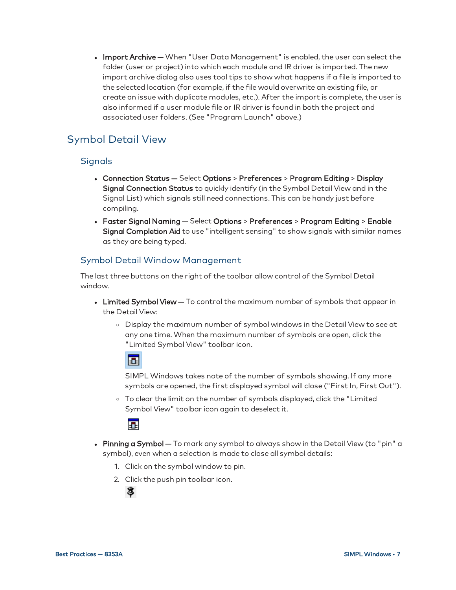• Import Archive - When "User Data Management" is enabled, the user can select the folder (user or project) into which each module and IR driver is imported. The new import archive dialog also uses tool tips to show what happens if a file is imported to the selected location (for example, if the file would overwrite an existing file, or create an issue with duplicate modules, etc.). After the import is complete, the user is also informed if a user module file or IR driver is found in both the project and associated user folders. (See "Program Launch" above.)

## <span id="page-10-0"></span>Symbol Detail View

#### Signals

- Connection Status Select Options > Preferences > Program Editing > Display Signal Connection Status to quickly identify (in the Symbol Detail View and in the Signal List) which signals still need connections. This can be handy just before compiling.
- <sup>l</sup> Faster Signal Naming Select Options > Preferences > Program Editing > Enable Signal Completion Aid to use "intelligent sensing" to show signals with similar names as they are being typed.

#### Symbol Detail Window Management

The last three buttons on the right of the toolbar allow control of the Symbol Detail window.

- Limited Symbol View To control the maximum number of symbols that appear in the Detail View:
	- <sup>o</sup> Display the maximum number of symbol windows in the Detail View to see at any one time. When the maximum number of symbols are open, click the "Limited Symbol View" toolbar icon.

## 囻

SIMPL Windows takes note of the number of symbols showing. If any more symbols are opened, the first displayed symbol will close ("First In, First Out").

<sup>o</sup> To clear the limit on the number of symbols displayed, click the "Limited Symbol View" toolbar icon again to deselect it.

## 围

- Pinning a Symbol To mark any symbol to always show in the Detail View (to "pin" a symbol), even when a selection is made to close all symbol details:
	- 1. Click on the symbol window to pin.
	- 2. Click the push pin toolbar icon.

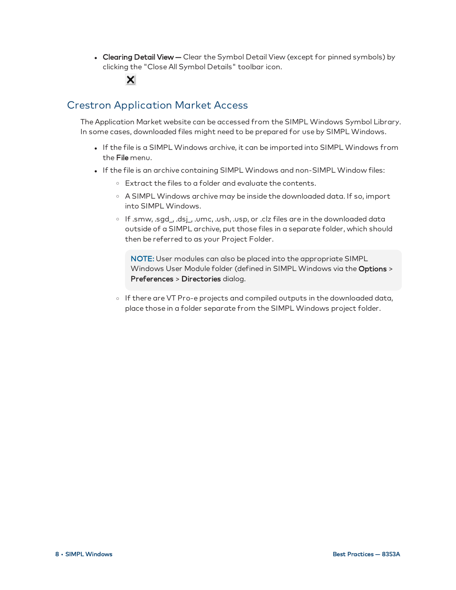• Clearing Detail View - Clear the Symbol Detail View (except for pinned symbols) by clicking the "Close All Symbol Details" toolbar icon.

## <span id="page-11-0"></span>Crestron Application Market Access

×

The Application Market website can be accessed from the SIMPL Windows Symbol Library. In some cases, downloaded files might need to be prepared for use by SIMPL Windows.

- <sup>l</sup> If the file is a SIMPL Windows archive, it can be imported into SIMPL Windows from the File menu.
- . If the file is an archive containing SIMPL Windows and non-SIMPL Window files:
	- <sup>o</sup> Extract the files to a folder and evaluate the contents.
	- <sup>o</sup> A SIMPL Windows archive may be inside the downloaded data. If so, import into SIMPL Windows.
	- <sup>o</sup> If .smw, .sgd\_, .dsj\_, .umc, .ush, .usp, or .clz files are in the downloaded data outside of a SIMPL archive, put those files in a separate folder, which should then be referred to as your Project Folder.

NOTE: User modules can also be placed into the appropriate SIMPL Windows User Module folder (defined in SIMPL Windows via the Options > Preferences > Directories dialog.

o If there are VT Pro-e projects and compiled outputs in the downloaded data, place those in a folder separate from the SIMPL Windows project folder.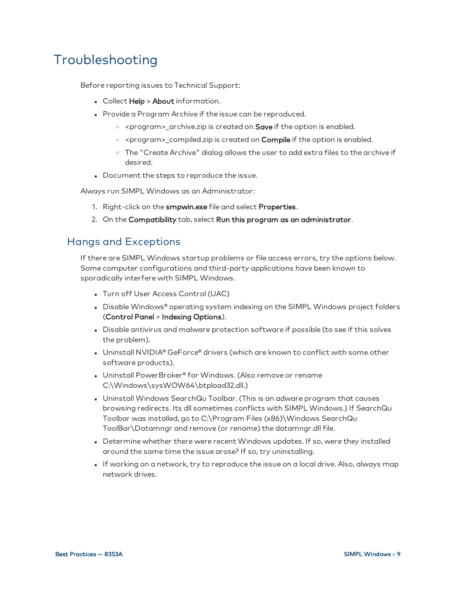## <span id="page-12-0"></span>Troubleshooting

Before reporting issues to Technical Support:

- Collect Help > About information.
- Provide a Program Archive if the issue can be reproduced.
	- o <program>\_archive.zip is created on **Save** if the option is enabled.
	- o <program>\_compiled.zip is created on **Compile** if the option is enabled.
	- <sup>o</sup> The "Create Archive" dialog allows the user to add extra files to the archive if desired.
- Document the steps to reproduce the issue.

Always run SIMPL Windows as an Administrator:

- 1. Right-click on the smpwin.exe file and select Properties.
- 2. On the Compatibility tab, select Run this program as an administrator.

#### <span id="page-12-1"></span>Hangs and Exceptions

If there are SIMPL Windows startup problems or file access errors, try the options below. Some computer configurations and third-party applications have been known to sporadically interfere with SIMPL Windows.

- Turn off User Access Control (UAC)
- Disable Windows® operating system indexing on the SIMPL Windows project folders (Control Panel > Indexing Options).
- Disable antivirus and malware protection software if possible (to see if this solves the problem).
- Uninstall NVIDIA® GeForce® drivers (which are known to conflict with some other software products).
- Uninstall PowerBroker® for Windows. (Also remove or rename C:\Windows\sysWOW64\btpload32.dll.)
- Uninstall Windows SearchQu Toolbar. (This is an adware program that causes browsing redirects. Its dll sometimes conflicts with SIMPL Windows.) If SearchQu Toolbar was installed, go to C:\Program Files (x86)\Windows SearchQu ToolBar\Datamngr and remove (or rename) the datamngr.dll file.
- Determine whether there were recent Windows updates. If so, were they installed around the same time the issue arose? If so, try uninstalling.
- If working on a network, try to reproduce the issue on a local drive. Also, always map network drives.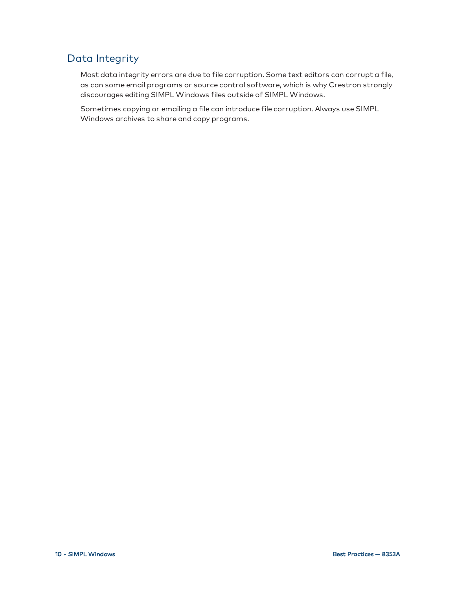## <span id="page-13-0"></span>Data Integrity

Most data integrity errors are due to file corruption. Some text editors can corrupt a file, as can some email programs or source control software, which is why Crestron strongly discourages editing SIMPL Windows files outside of SIMPL Windows.

Sometimes copying or emailing a file can introduce file corruption. Always use SIMPL Windows archives to share and copy programs.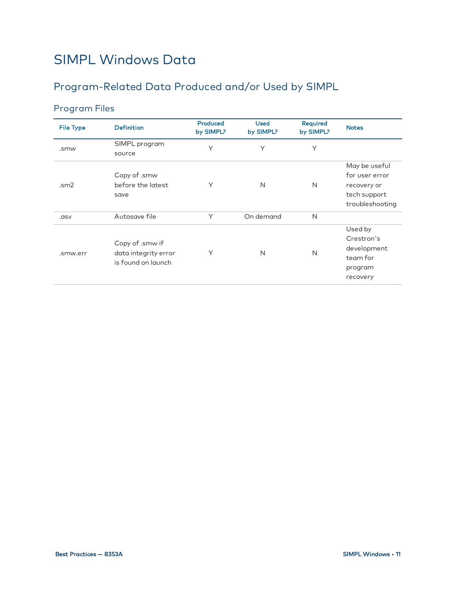## <span id="page-14-0"></span>SIMPL Windows Data

## <span id="page-14-1"></span>Program-Related Data Produced and/or Used by SIMPL

## Program Files

| <b>File Type</b> | <b>Definition</b>                                             | Produced<br>by SIMPL? | <b>Used</b><br>by SIMPL? | Required<br>by SIMPL? | <b>Notes</b>                                                                      |
|------------------|---------------------------------------------------------------|-----------------------|--------------------------|-----------------------|-----------------------------------------------------------------------------------|
| .smw             | SIMPL program<br>source                                       | Y                     | Y                        | Y                     |                                                                                   |
| .m2              | Copy of .smw<br>before the latest<br>save                     | Υ                     | N                        | N                     | May be useful<br>for user error<br>recovery or<br>tech support<br>troubleshooting |
| .asv             | Autosave file                                                 | Y                     | On demand                | N                     |                                                                                   |
| .smw.err         | Copy of .smw if<br>data integrity error<br>is found on launch | Υ                     | N                        | N                     | Used by<br>Crestron's<br>development<br>team for<br>program<br>recovery           |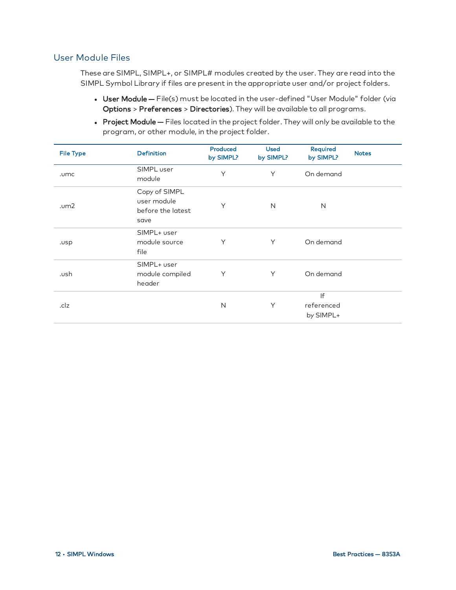#### User Module Files

These are SIMPL, SIMPL+, or SIMPL# modules created by the user. They are read into the SIMPL Symbol Library if files are present in the appropriate user and/or project folders.

- User Module File(s) must be located in the user-defined "User Module" folder (via Options > Preferences > Directories). They will be available to all programs.
- Project Module Files located in the project folder. They will only be available to the program, or other module, in the project folder.

| <b>File Type</b> | <b>Definition</b>                                         | Produced<br>by SIMPL? | <b>Used</b><br>by SIMPL? | Required<br>by SIMPL?         | <b>Notes</b> |
|------------------|-----------------------------------------------------------|-----------------------|--------------------------|-------------------------------|--------------|
| .umc             | SIMPL user<br>module                                      | Υ                     | Y                        | On demand                     |              |
| .um2             | Copy of SIMPL<br>user module<br>before the latest<br>save | Y                     | N                        | N                             |              |
| .usp             | SIMPL+ user<br>module source<br>file                      | Y                     | Y                        | On demand                     |              |
| .ush             | SIMPL+ user<br>module compiled<br>header                  | Y                     | Y                        | On demand                     |              |
| .clz             |                                                           | N                     | Y                        | If<br>referenced<br>by SIMPL+ |              |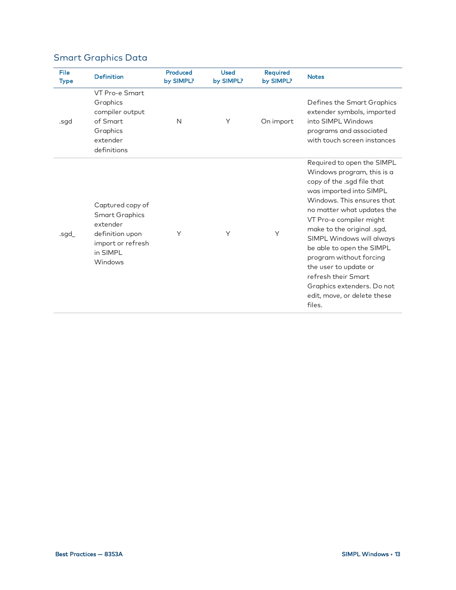## Smart Graphics Data

| File<br><b>Type</b> | <b>Definition</b>                                                                                                    | Produced<br>by SIMPL? | <b>Used</b><br>by SIMPL? | Required<br>by SIMPL? | <b>Notes</b>                                                                                                                                                                                                                                                                                                                                                                                                                                       |
|---------------------|----------------------------------------------------------------------------------------------------------------------|-----------------------|--------------------------|-----------------------|----------------------------------------------------------------------------------------------------------------------------------------------------------------------------------------------------------------------------------------------------------------------------------------------------------------------------------------------------------------------------------------------------------------------------------------------------|
| .sgd                | VT Pro-e Smart<br>Graphics<br>compiler output<br>of Smart<br>Graphics<br>extender<br>definitions                     | $\mathsf{N}$          | Y                        | On import             | Defines the Smart Graphics<br>extender symbols, imported<br>into SIMPL Windows<br>programs and associated<br>with touch screen instances                                                                                                                                                                                                                                                                                                           |
| .sgd_               | Captured copy of<br><b>Smart Graphics</b><br>extender<br>definition upon<br>import or refresh<br>in SIMPL<br>Windows | Y                     | Y                        | Y                     | Required to open the SIMPL<br>Windows program, this is a<br>copy of the .sgd file that<br>was imported into SIMPL<br>Windows. This ensures that<br>no matter what updates the<br>VT Pro-e compiler might<br>make to the original .sgd,<br>SIMPL Windows will always<br>be able to open the SIMPL<br>program without forcing<br>the user to update or<br>refresh their Smart<br>Graphics extenders. Do not<br>edit, move, or delete these<br>files. |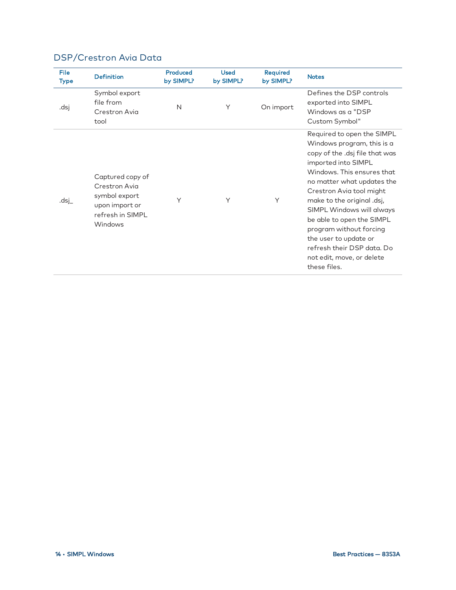| File<br>Type | <b>Definition</b>                                                                                   | Produced<br>by SIMPL? | <b>Used</b><br>by SIMPL? | Required<br>by SIMPL? | <b>Notes</b>                                                                                                                                                                                                                                                                                                                                                                                                                     |
|--------------|-----------------------------------------------------------------------------------------------------|-----------------------|--------------------------|-----------------------|----------------------------------------------------------------------------------------------------------------------------------------------------------------------------------------------------------------------------------------------------------------------------------------------------------------------------------------------------------------------------------------------------------------------------------|
| .dsj         | Symbol export<br>file from<br>Crestron Avia<br>tool                                                 | N                     | Υ                        | On import             | Defines the DSP controls<br>exported into SIMPL<br>Windows as a "DSP<br>Custom Symbol"                                                                                                                                                                                                                                                                                                                                           |
| .dsj         | Captured copy of<br>Crestron Avia<br>symbol export<br>upon import or<br>refresh in SIMPI<br>Windows | Y                     | Υ                        | Υ                     | Required to open the SIMPL<br>Windows program, this is a<br>copy of the .dsj file that was<br>imported into SIMPL<br>Windows. This ensures that<br>no matter what updates the<br>Crestron Avia tool might<br>make to the original .dsj,<br>SIMPL Windows will always<br>be able to open the SIMPL<br>program without forcing<br>the user to update or<br>refresh their DSP data. Do<br>not edit, move, or delete<br>these files. |

### DSP/Crestron Avia Data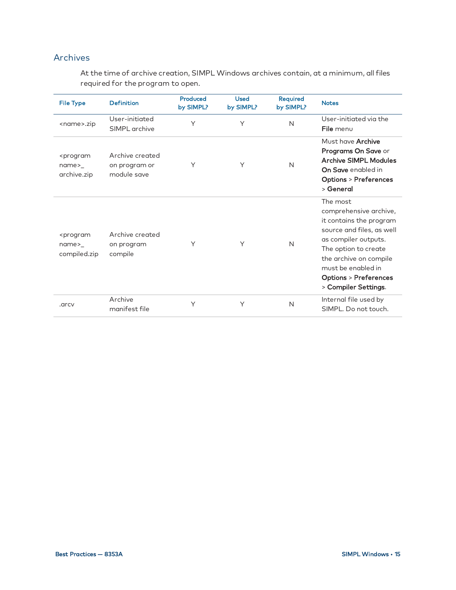#### Archives

At the time of archive creation, SIMPL Windows archives contain, at a minimum, all files required for the program to open.

| <b>File Type</b>                                                | <b>Definition</b>                               | Produced<br>by SIMPL? | <b>Used</b><br>by SIMPL? | Required<br>by SIMPL? | <b>Notes</b>                                                                                                                                                                                                                                          |
|-----------------------------------------------------------------|-------------------------------------------------|-----------------------|--------------------------|-----------------------|-------------------------------------------------------------------------------------------------------------------------------------------------------------------------------------------------------------------------------------------------------|
| <name>.zip</name>                                               | User-initiated<br>SIMPL archive                 | Υ                     | Y                        | N                     | User-initiated via the<br>File menu                                                                                                                                                                                                                   |
| <program<br>name&gt;<br/>archive.zip</program<br>               | Archive created<br>on program or<br>module save | Υ                     | Υ                        | N                     | Must have <b>Archive</b><br>Programs On Save or<br><b>Archive SIMPL Modules</b><br>On Save enabled in<br><b>Options &gt; Preferences</b><br>> General                                                                                                 |
| <program<br><math>name_{-}</math><br/>compiled.zip</program<br> | Archive created<br>on program<br>compile        | Y                     | Y                        | N                     | The most<br>comprehensive archive,<br>it contains the program<br>source and files, as well<br>as compiler outputs.<br>The option to create<br>the archive on compile<br>must be enabled in<br><b>Options &gt; Preferences</b><br>> Compiler Settings. |
| .arcv                                                           | Archive<br>manifest file                        | Υ                     | Υ                        | N                     | Internal file used by<br>SIMPL. Do not touch.                                                                                                                                                                                                         |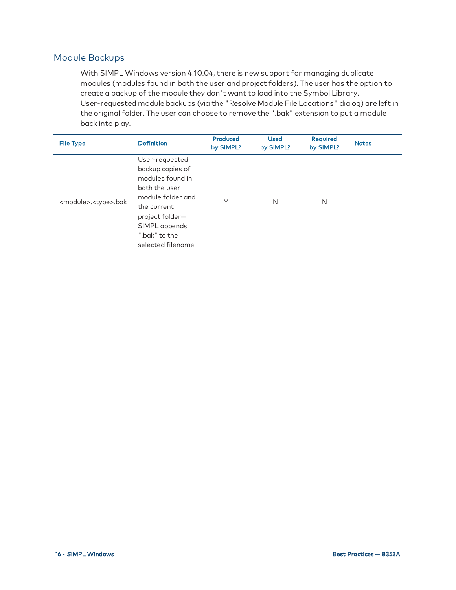#### Module Backups

With SIMPL Windows version 4.10.04, there is new support for managing duplicate modules (modules found in both the user and project folders). The user has the option to create a backup of the module they don't want to load into the Symbol Library. User-requested module backups (via the "Resolve Module File Locations" dialog) are left in the original folder. The user can choose to remove the ".bak" extension to put a module back into play.

| <b>File Type</b>                    | <b>Definition</b>                                                                                                                                                                     | Produced<br>by SIMPL? | <b>Used</b><br>by SIMPL? | Required<br>by SIMPL? | <b>Notes</b> |
|-------------------------------------|---------------------------------------------------------------------------------------------------------------------------------------------------------------------------------------|-----------------------|--------------------------|-----------------------|--------------|
| <module>.<type>.bak</type></module> | User-requested<br>backup copies of<br>modules found in<br>both the user<br>module folder and<br>the current<br>project folder-<br>SIMPL appends<br>".bak" to the<br>selected filename | $\checkmark$          | N                        | N                     |              |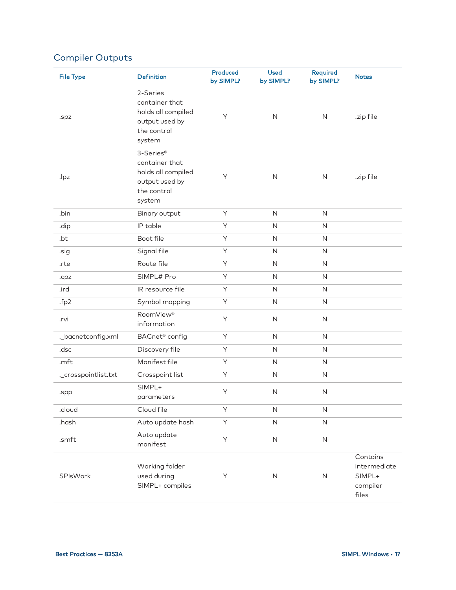## Compiler Outputs

| <b>File Type</b>     | <b>Definition</b>                                                                            | Produced<br>by SIMPL? | <b>Used</b><br>by SIMPL? | Required<br>by SIMPL? | <b>Notes</b>                                            |
|----------------------|----------------------------------------------------------------------------------------------|-----------------------|--------------------------|-----------------------|---------------------------------------------------------|
| .spz                 | 2-Series<br>container that<br>holds all compiled<br>output used by<br>the control<br>system  | Υ                     | $\mathsf{N}$             | $\mathsf{N}$          | .zip file                                               |
| .lpz                 | 3-Series®<br>container that<br>holds all compiled<br>output used by<br>the control<br>system | Υ                     | $\mathsf{N}$             | $\mathsf{N}$          | .zip file                                               |
| .bin                 | Binary output                                                                                | Υ                     | N                        | $\mathsf{N}$          |                                                         |
| .dip                 | IP table                                                                                     | Y                     | $\mathsf{N}$             | $\mathsf N$           |                                                         |
| .bt                  | Boot file                                                                                    | Y                     | $\mathsf N$              | $\mathsf{N}$          |                                                         |
| .sig                 | Signal file                                                                                  | Υ                     | N                        | $\mathsf N$           |                                                         |
| .rte                 | Route file                                                                                   | Υ                     | $\mathsf N$              | $\mathsf{N}$          |                                                         |
| .cpz                 | SIMPL# Pro                                                                                   | Υ                     | $\mathsf N$              | $\mathsf{N}$          |                                                         |
| .ird                 | IR resource file                                                                             | Υ                     | $\mathsf{N}$             | $\mathsf{N}$          |                                                         |
| .fp2                 | Symbol mapping                                                                               | Υ                     | $\mathsf N$              | $\mathsf{N}$          |                                                         |
| .rvi                 | RoomView®<br>information                                                                     | Υ                     | N                        | $\mathsf{N}$          |                                                         |
| ._bacnetconfig.xml   | BACnet <sup>®</sup> config                                                                   | Y                     | $\mathsf N$              | $\mathsf N$           |                                                         |
| .dsc                 | Discovery file                                                                               | Y                     | N                        | $\mathsf{N}$          |                                                         |
| .mft                 | Manifest file                                                                                | Υ                     | N                        | $\mathsf{N}$          |                                                         |
| ._crosspointlist.txt | Crosspoint list                                                                              | Υ                     | $\mathsf N$              | $\mathsf N$           |                                                         |
| .spp                 | SIMPL+<br>parameters                                                                         | Υ                     | N                        | $\mathsf{N}$          |                                                         |
| .cloud               | Cloud file                                                                                   | Y                     | $\hbox{N}$               | $\mathsf N$           |                                                         |
| .hash                | Auto update hash                                                                             | Υ                     | $\mathsf{N}\xspace$      | $\mathsf{N}\xspace$   |                                                         |
| .smft                | Auto update<br>manifest                                                                      | Y                     | $\mathsf{N}\xspace$      | $\hbox{N}$            |                                                         |
| SPIsWork             | Working folder<br>used during<br>SIMPL+ compiles                                             | Υ                     | ${\sf N}$                | $\mathsf N$           | Contains<br>intermediate<br>SIMPL+<br>compiler<br>files |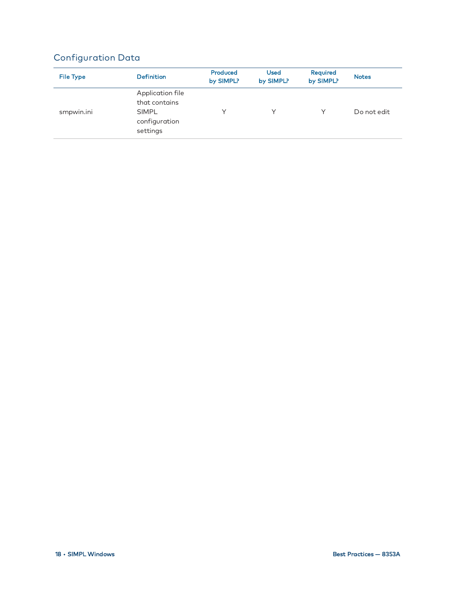## Configuration Data

| <b>File Type</b> | <b>Definition</b>                                                              | Produced<br>by SIMPL? | <b>Used</b><br>by SIMPL? | Required<br>by SIMPL? | <b>Notes</b> |
|------------------|--------------------------------------------------------------------------------|-----------------------|--------------------------|-----------------------|--------------|
| smpwin.ini       | Application file<br>that contains<br><b>SIMPL</b><br>configuration<br>settings | ∨                     | ∨                        |                       | Do not edit  |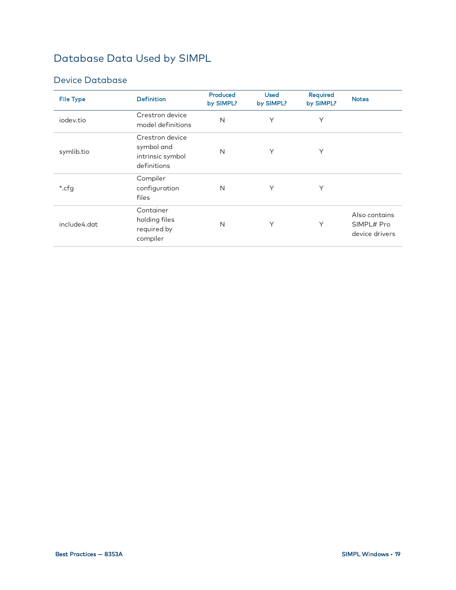## <span id="page-22-0"></span>Database Data Used by SIMPL

#### Device Database

| <b>File Type</b> | <b>Definition</b>                                                | Produced<br>by SIMPL? | <b>Used</b><br>by SIMPL? | <b>Required</b><br>by SIMPL? | <b>Notes</b>                                  |
|------------------|------------------------------------------------------------------|-----------------------|--------------------------|------------------------------|-----------------------------------------------|
| iodev.tio        | Crestron device<br>model definitions                             | N                     | Y                        | Υ                            |                                               |
| symlib.tio       | Crestron device<br>symbol and<br>intrinsic symbol<br>definitions | N                     | Y                        | Y                            |                                               |
| *.cfg            | Compiler<br>configuration<br>files                               | N                     | Y                        | Υ                            |                                               |
| include4.dat     | Container<br>holding files<br>required by<br>compiler            | N                     | Y                        | Y                            | Also contains<br>SIMPL# Pro<br>device drivers |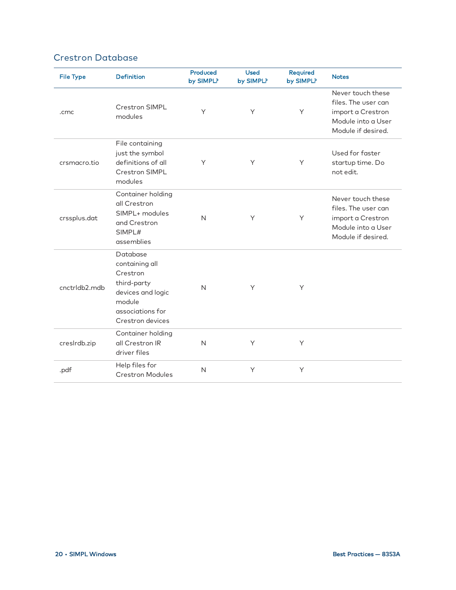#### Crestron Database

| <b>File Type</b> | <b>Definition</b>                                                                                                            | Produced<br>by SIMPL? | <b>Used</b><br>by SIMPL? | Required<br>by SIMPL? | <b>Notes</b>                                                                                              |
|------------------|------------------------------------------------------------------------------------------------------------------------------|-----------------------|--------------------------|-----------------------|-----------------------------------------------------------------------------------------------------------|
| .cmc             | <b>Crestron SIMPL</b><br>modules                                                                                             | Y                     | Y                        | Y                     | Never touch these<br>files. The user can<br>import a Crestron<br>Module into a User<br>Module if desired. |
| crsmacro.tio     | File containing<br>just the symbol<br>definitions of all<br><b>Crestron SIMPL</b><br>modules                                 | Y                     | Υ                        | Υ                     | Used for faster<br>startup time. Do<br>not edit.                                                          |
| crssplus.dat     | Container holding<br>all Crestron<br>SIMPL+ modules<br>and Crestron<br>SIMPL#<br>assemblies                                  | $\mathsf{N}$          | Y                        | Υ                     | Never touch these<br>files. The user can<br>import a Crestron<br>Module into a User<br>Module if desired. |
| cnctrldb2.mdb    | Database<br>containing all<br>Crestron<br>third-party<br>devices and logic<br>module<br>associations for<br>Crestron devices | $\mathsf{N}$          | Y                        | Y                     |                                                                                                           |
| creslrdb.zip     | Container holding<br>all Crestron IR<br>driver files                                                                         | $\mathsf{N}$          | Y                        | Υ                     |                                                                                                           |
| .pdf             | Help files for<br><b>Crestron Modules</b>                                                                                    | N                     | Y                        | Υ                     |                                                                                                           |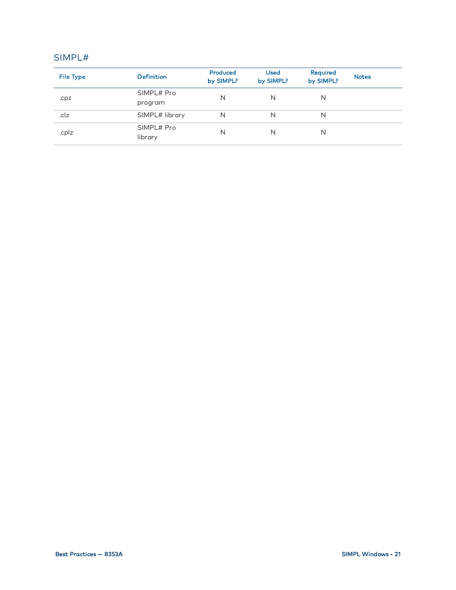#### SIMPL#

| <b>File Type</b> | <b>Definition</b>     | Produced<br>by SIMPL? | <b>Used</b><br>by SIMPL? | Required<br>by SIMPL? | <b>Notes</b> |
|------------------|-----------------------|-----------------------|--------------------------|-----------------------|--------------|
| .cpz             | SIMPL# Pro            | N                     | N                        | N                     |              |
|                  | program               |                       |                          |                       |              |
| .clz             | SIMPL# library        | N                     | N                        | N                     |              |
| .cplz            | SIMPL# Pro<br>library | N                     | N                        | N                     |              |